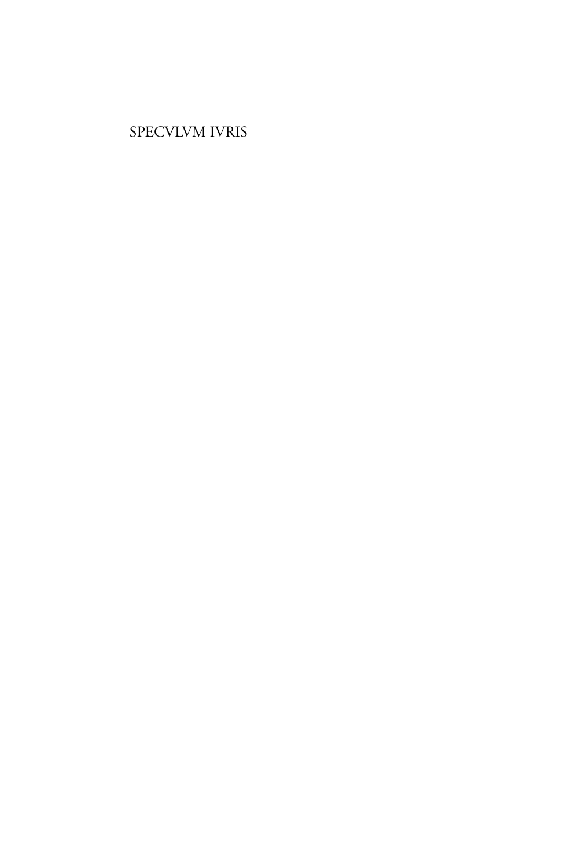### SPECVLVM IVRIS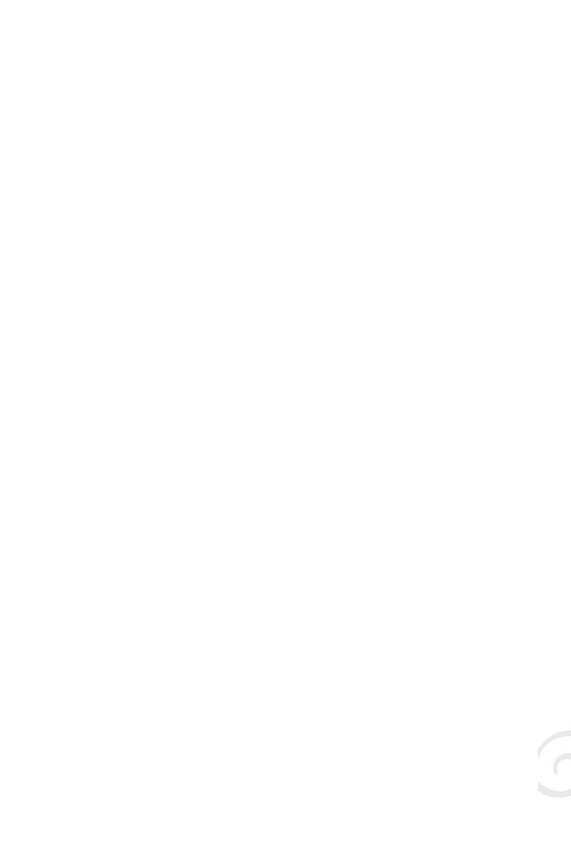$\sqrt{2}$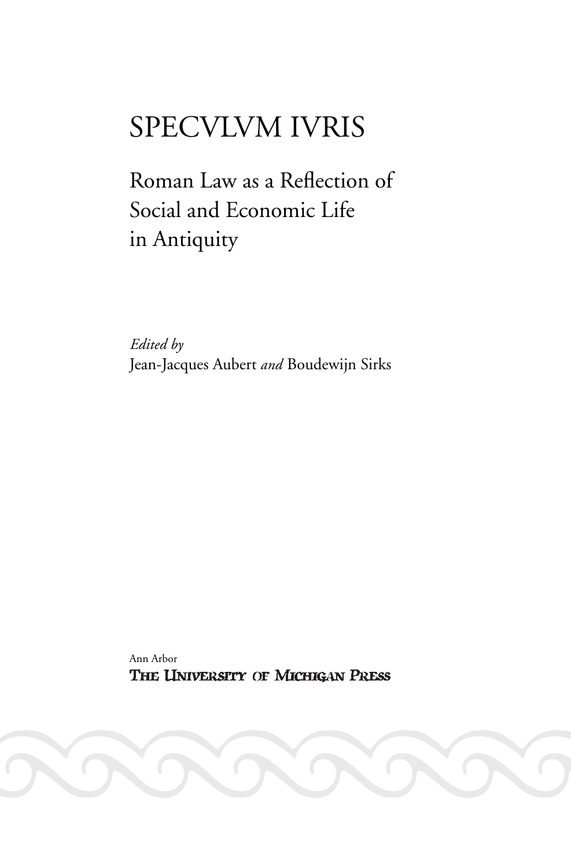# SPECVLVM IVRIS

Roman Law as a Reflection of Social and Economic Life in Antiquity

*Edited by* Jean-Jacques Aubert *and* Boudewijn Sirks

Ann Arbor<br>**THE UNIVERSITY OF MICHIGAN PRESS** 

RARARA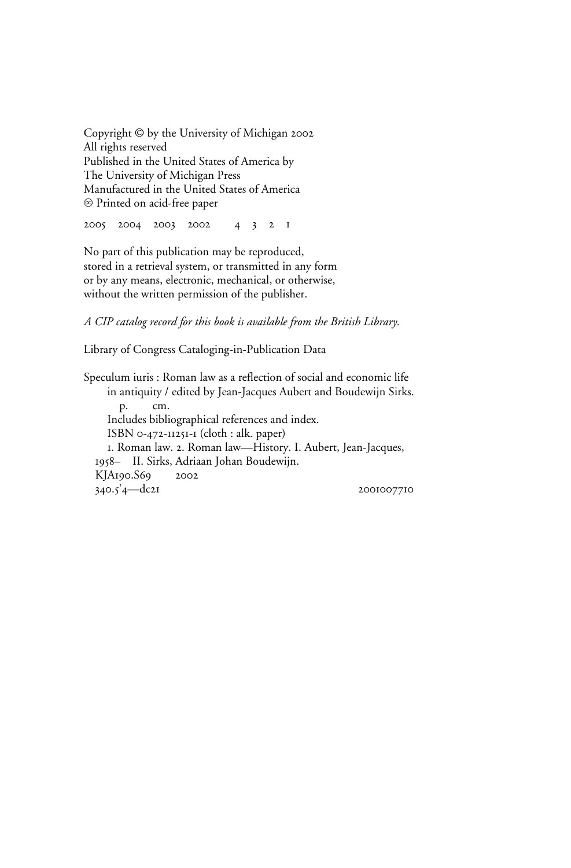Copyright © by the University of Michigan 2002 All rights reserved Published in the United States of America by The University of Michigan Press Manufactured in the United States of America  $\circledcirc$  Printed on acid-free paper

2005 2004 2003 2002 4 3 2 1

No part of this publication may be reproduced, stored in a retrieval system, or transmitted in any form or by any means, electronic, mechanical, or otherwise, without the written permission of the publisher.

*A CIP catalog record for this book is available from the British Library.*

Library of Congress Cataloging-in-Publication Data

Speculum iuris : Roman law as a reflection of social and economic life in antiquity / edited by Jean-Jacques Aubert and Boudewijn Sirks. p. cm. Includes bibliographical references and index. ISBN 0-472-11251-1 (cloth : alk. paper) 1. Roman law. 2. Roman law—History. I. Aubert, Jean-Jacques, 1958– II. Sirks, Adriaan Johan Boudewijn. KJA190.S69 2002 340.5'4—dc21 2001007710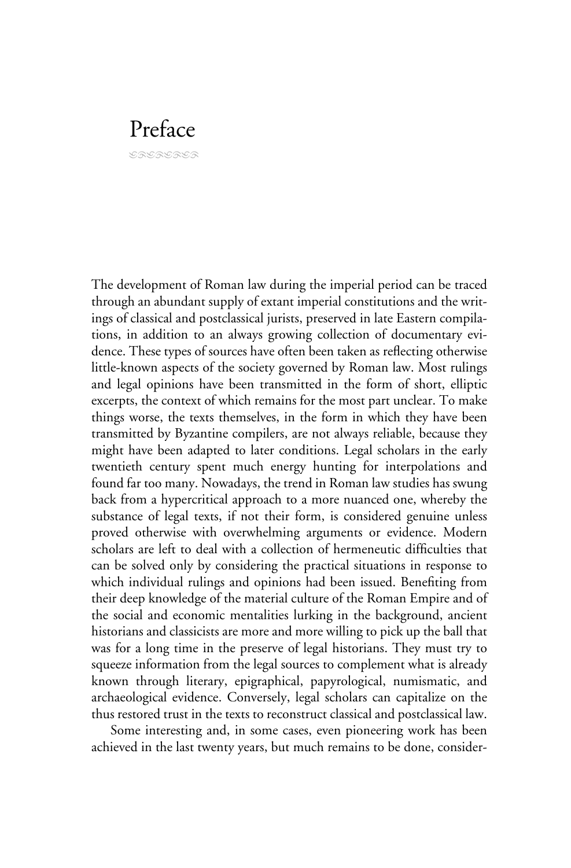## Preface

たろうしょうし

The development of Roman law during the imperial period can be traced through an abundant supply of extant imperial constitutions and the writings of classical and postclassical jurists, preserved in late Eastern compilations, in addition to an always growing collection of documentary evidence. These types of sources have often been taken as reflecting otherwise little-known aspects of the society governed by Roman law. Most rulings and legal opinions have been transmitted in the form of short, elliptic excerpts, the context of which remains for the most part unclear. To make things worse, the texts themselves, in the form in which they have been transmitted by Byzantine compilers, are not always reliable, because they might have been adapted to later conditions. Legal scholars in the early twentieth century spent much energy hunting for interpolations and found far too many. Nowadays, the trend in Roman law studies has swung back from a hypercritical approach to a more nuanced one, whereby the substance of legal texts, if not their form, is considered genuine unless proved otherwise with overwhelming arguments or evidence. Modern scholars are left to deal with a collection of hermeneutic difficulties that can be solved only by considering the practical situations in response to which individual rulings and opinions had been issued. Benefiting from their deep knowledge of the material culture of the Roman Empire and of the social and economic mentalities lurking in the background, ancient historians and classicists are more and more willing to pick up the ball that was for a long time in the preserve of legal historians. They must try to squeeze information from the legal sources to complement what is already known through literary, epigraphical, papyrological, numismatic, and archaeological evidence. Conversely, legal scholars can capitalize on the thus restored trust in the texts to reconstruct classical and postclassical law.

Some interesting and, in some cases, even pioneering work has been achieved in the last twenty years, but much remains to be done, consider-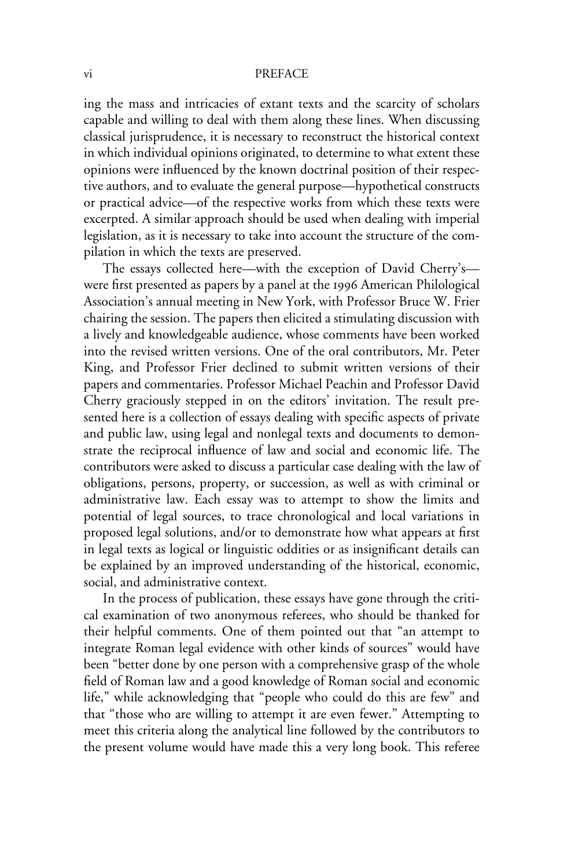#### vi PREFACE

ing the mass and intricacies of extant texts and the scarcity of scholars capable and willing to deal with them along these lines. When discussing classical jurisprudence, it is necessary to reconstruct the historical context in which individual opinions originated, to determine to what extent these opinions were influenced by the known doctrinal position of their respective authors, and to evaluate the general purpose—hypothetical constructs or practical advice—of the respective works from which these texts were excerpted. A similar approach should be used when dealing with imperial legislation, as it is necessary to take into account the structure of the compilation in which the texts are preserved.

The essays collected here—with the exception of David Cherry's were first presented as papers by a panel at the 1996 American Philological Association's annual meeting in New York, with Professor Bruce W. Frier chairing the session. The papers then elicited a stimulating discussion with a lively and knowledgeable audience, whose comments have been worked into the revised written versions. One of the oral contributors, Mr. Peter King, and Professor Frier declined to submit written versions of their papers and commentaries. Professor Michael Peachin and Professor David Cherry graciously stepped in on the editors' invitation. The result presented here is a collection of essays dealing with specific aspects of private and public law, using legal and nonlegal texts and documents to demonstrate the reciprocal influence of law and social and economic life. The contributors were asked to discuss a particular case dealing with the law of obligations, persons, property, or succession, as well as with criminal or administrative law. Each essay was to attempt to show the limits and potential of legal sources, to trace chronological and local variations in proposed legal solutions, and/or to demonstrate how what appears at first in legal texts as logical or linguistic oddities or as insignificant details can be explained by an improved understanding of the historical, economic, social, and administrative context.

In the process of publication, these essays have gone through the critical examination of two anonymous referees, who should be thanked for their helpful comments. One of them pointed out that "an attempt to integrate Roman legal evidence with other kinds of sources" would have been "better done by one person with a comprehensive grasp of the whole field of Roman law and a good knowledge of Roman social and economic life," while acknowledging that "people who could do this are few" and that "those who are willing to attempt it are even fewer." Attempting to meet this criteria along the analytical line followed by the contributors to the present volume would have made this a very long book. This referee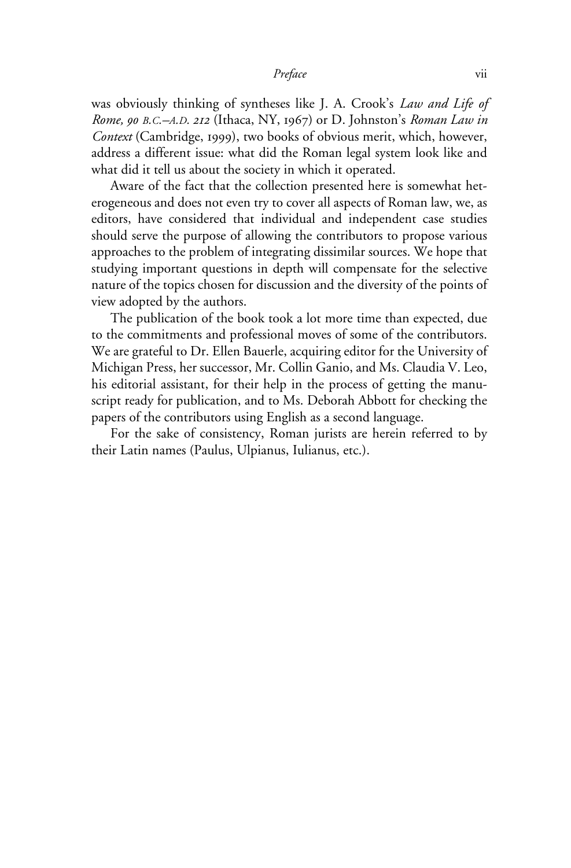#### *Preface* vii

was obviously thinking of syntheses like J. A. Crook's *Law and Life of Rome, 90 B.C.–A.D. 212* (Ithaca, NY, 1967) or D. Johnston's *Roman Law in Context* (Cambridge, 1999), two books of obvious merit, which, however, address a different issue: what did the Roman legal system look like and what did it tell us about the society in which it operated.

Aware of the fact that the collection presented here is somewhat heterogeneous and does not even try to cover all aspects of Roman law, we, as editors, have considered that individual and independent case studies should serve the purpose of allowing the contributors to propose various approaches to the problem of integrating dissimilar sources. We hope that studying important questions in depth will compensate for the selective nature of the topics chosen for discussion and the diversity of the points of view adopted by the authors.

The publication of the book took a lot more time than expected, due to the commitments and professional moves of some of the contributors. We are grateful to Dr. Ellen Bauerle, acquiring editor for the University of Michigan Press, her successor, Mr. Collin Ganio, and Ms. Claudia V. Leo, his editorial assistant, for their help in the process of getting the manuscript ready for publication, and to Ms. Deborah Abbott for checking the papers of the contributors using English as a second language.

For the sake of consistency, Roman jurists are herein referred to by their Latin names (Paulus, Ulpianus, Iulianus, etc.).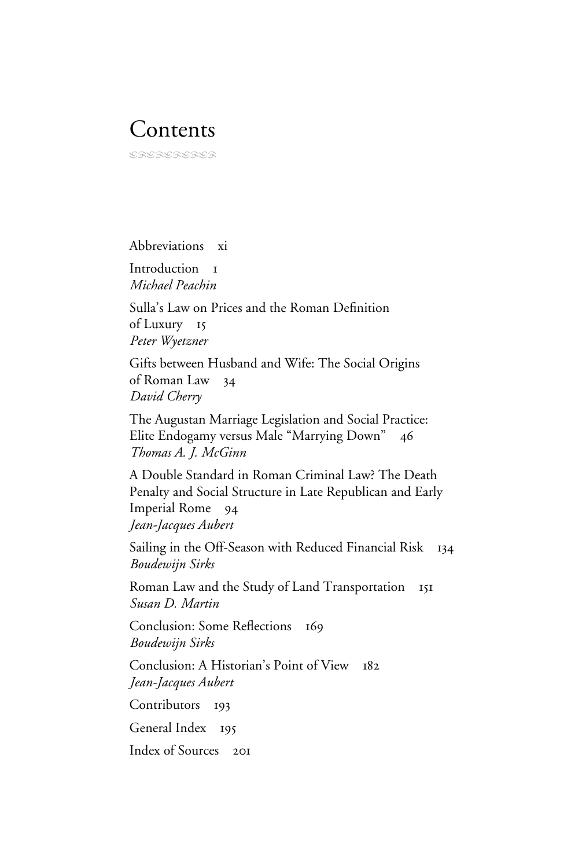### Contents

たろうしょうしょう

Abbreviations xi

Introduction I *Michael Peachin*

Sulla's Law on Prices and the Roman Definition of Luxury 15 *Peter Wyetzner*

Gifts between Husband and Wife: The Social Origins of Roman Law 34 *David Cherry*

The Augustan Marriage Legislation and Social Practice: Elite Endogamy versus Male "Marrying Down" 46 *Thomas A. J. McGinn*

A Double Standard in Roman Criminal Law? The Death Penalty and Social Structure in Late Republican and Early Imperial Rome 94 *Jean-Jacques Aubert*

Sailing in the Off-Season with Reduced Financial Risk 134 *Boudewijn Sirks*

Roman Law and the Study of Land Transportation 151 *Susan D. Martin*

Conclusion: Some Reflections 169 *Boudewijn Sirks*

Conclusion: A Historian's Point of View 182 *Jean-Jacques Aubert*

Contributors 193

General Index 195

Index of Sources 201